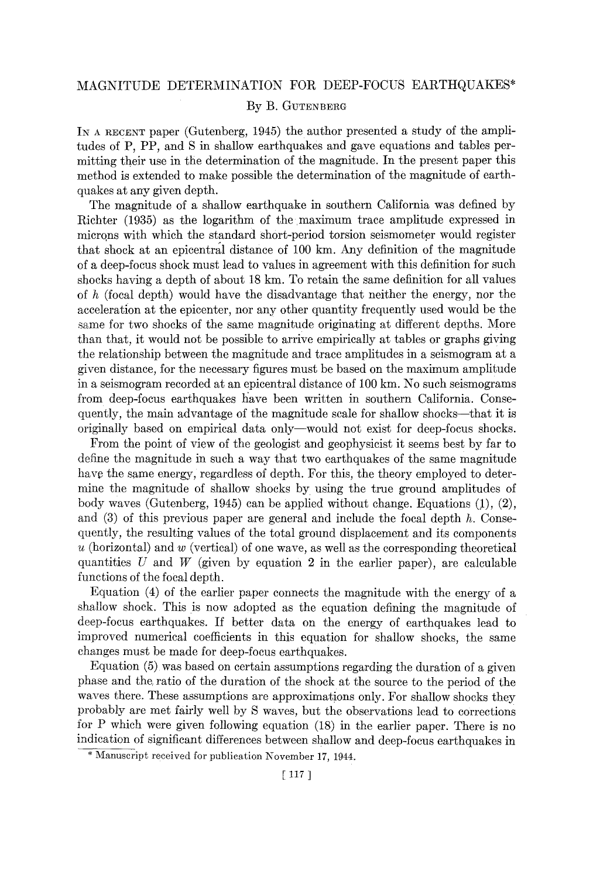# MAGNITUDE DETERMINATION FOR DEEP-FOCUS EARTHQUAKES\*

# By B. GUTENBERG

IN A RECENT paper (Gutenberg, 1945) the author presented a study of the amplitudes of P, PP, and S in shallow earthquakes and gave equations and tables permitting their use in the determination of the magnitude. In the present paper this method is extended to make possible the determination of the magnitude of earthquakes at any given depth.

The magnitude of a shallow earthquake in southern California was defined by Richter (1935) as the logarithm of the maximum trace amplitude expressed in microns with which the standard short-period torsion seismometer would register that shock at an epicentral distance of 100 km. Any definition of the magnitude of a deep-focus shock must lead to values in agreement with this definition for such shocks having a depth of about 18 km. To retain the same definition for all values of h (focal depth) would have the disadvantage that neither the energy, nor the acceleration at the epicenter, nor any other quantity frequently used would be the same for two shocks of the same magnitude originating at different depths. More than that, it would not be possible to arrive empirically at tables or graphs giving the relationship between the magnitude and trace amplitudes in a seismogram at a given distance, for the necessary figures must be based on the maximum amplitude in a seismogram recorded at an epicentral distance of 100 km. No such seismograms from deep-focus earthquakes have been written in southern California. Consequently, the main advantage of the magnitude scale for shallow shocks--that it is originally based on empirical data only--would not exist for deep-focus shocks.

From the point of view of the geologist and geophysicist it seems best by far to define the magnitude in such a way that two earthquakes of the same magnitude have the same energy, regardless of depth. For this, the theory employed to determine the magnitude of shallow shocks by using the true ground amplitudes of body waves (Gutenberg, 1945) can be applied without change. Equations (1), (2), and (3) of this previous paper are general and include the focal depth h. Consequently, the resulting values of the total ground displacement and its components  $u$  (horizontal) and  $w$  (vertical) of one wave, as well as the corresponding theoretical quantities U and W (given by equation 2 in the earlier paper), are calculable functions of the focal depth.

Equation (4) of the earlier paper connects the magnitude with the energy of a shallow shock. This is now adopted as the equation defining the magnitude of deep-focus earthquakes. If better data on the energy of earthquakes lead to improved numerical coefficients in this equation for shallow shocks, the same changes must be made for deep-focus earthquakes.

Equation  $(5)$  was based on certain assumptions regarding the duration of a given phase and the, ratio of the duration of the shock at the source to the period of the waves there. These assumptions are approximations only. For shallow shocks they probably are met fairly well by S waves, but the observations lead to corrections for P which were given following equation (18) in the earlier paper. There is no indication of significant differences between shallow and deep-focus earthquakes in

<sup>\*</sup> Manuscript received for publication November 17, 1944.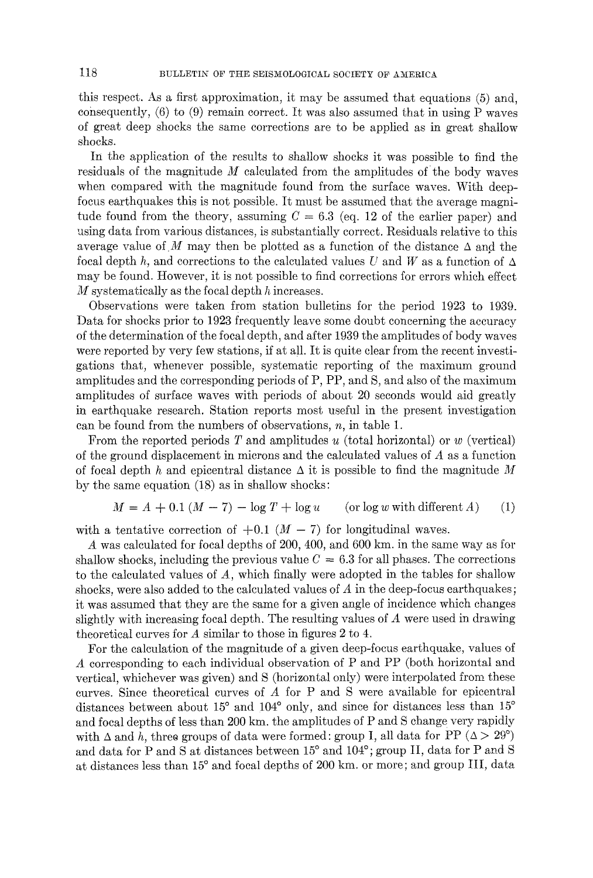this respect. As a first approximation, it may be assumed that equations (5) and, consequently,  $(6)$  to  $(9)$  remain correct. It was also assumed that in using P waves of great deep shocks the same corrections are to be applied as in great shallow shocks.

In the application of the results to shallow shocks it was possible to find the residuals of the magnitude M calculated from the amplitudes of the body waves when compared with the magnitude found from the surface waves. With deepfocus earthquakes this is not possible. It must be assumed that the average magnitude found from the theory, assuming  $C = 6.3$  (eq. 12 of the earlier paper) and using data from various distances, is substantially correct. Residuals relative to this average value of M may then be plotted as a function of the distance  $\Delta$  and the focal depth h, and corrections to the calculated values U and W as a function of  $\Delta$ may be found. However, it is not possible to find corrections for errors which effect  $M$  systematically as the focal depth  $h$  increases.

Observations were taken from station bulletins for the period 1923 to 1939. Data for shocks prior to 1923 frequently leave some doubt concerning the accuracy of the determination of the focal depth, and after 1939 the amplitudes of body waves were reported by very few stations, if at all. It is quite clear from the recent investigations that, whenever possible, systematic reporting of the maximum ground amplitudes and the corresponding periods of P, PP, and S, and also of the maximum amplitudes of surface waves with periods of about 20 seconds would aid greatly in earthquake research. Station reports most useful in the present investigation can be found from the numbers of observations,  $n$ , in table 1.

From the reported periods  $T$  and amplitudes  $u$  (total horizontal) or  $w$  (vertical) of the ground displacement in microns and the calculated values of A as a function of focal depth h and epicentral distance  $\Delta$  it is possible to find the magnitude M by the same equation (18) as in shallow shocks:

$$
M = A + 0.1 (M - 7) - \log T + \log u \qquad \text{(or } \log w \text{ with different } A\text{)} \tag{1}
$$

with a tentative correction of  $+0.1$  ( $M - 7$ ) for longitudinal waves.

A was calculated for focal depths of 200, 400, and 600 km. in the same way as for shallow shocks, including the previous value  $C = 6.3$  for all phases. The corrections to the calculated values of A, which finally were adopted in the tables for shallow shocks, were also added to the calculated values of  $A$  in the deep-focus earthquakes; it was assumed that they are the same for a given angle of incidence which changes slightly with increasing focal depth. The resulting values of A were used in drawing theoretical curves for A similar to those in figures 2 to 4.

For the calculation of the magnitude of a given deep-focus earthquake, values of A corresponding to each individual observation of P and PP (both horizontal and vertical, whichever was given) and S (horizontal only) were interpolated from these curves. Since theoretical curves of A for P and S were available for epicentral distances between about  $15^{\circ}$  and  $104^{\circ}$  only, and since for distances less than  $15^{\circ}$ and focal depths of less than 200 km. the amplitudes of P and S change very rapidly with  $\Delta$  and h, three groups of data were formed: group I, all data for PP ( $\Delta > 29^{\circ}$ ) and data for P and S at distances between  $15^{\circ}$  and  $104^{\circ}$ ; group II, data for P and S at distances less than 15<sup>°</sup> and focal depths of 200 km. or more; and group III, data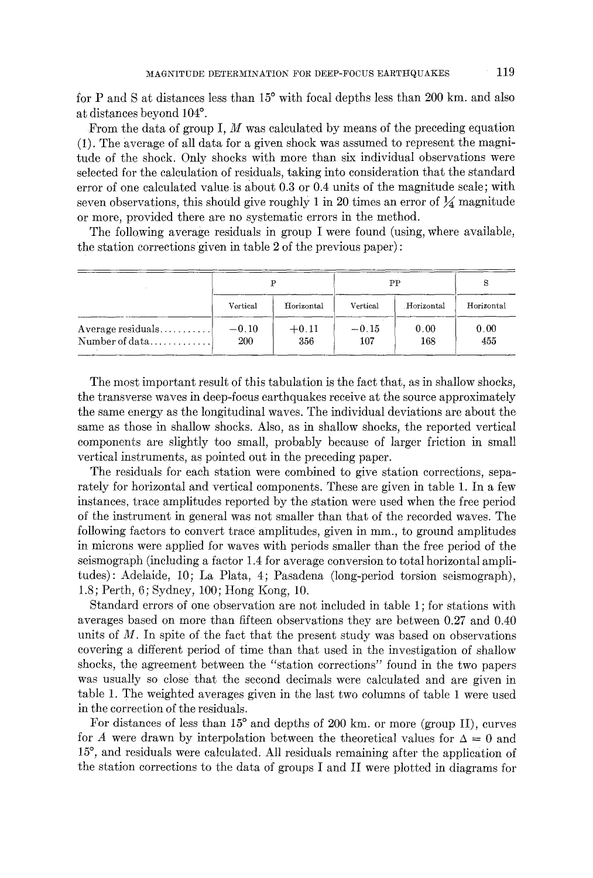for P and S at distances less than  $15^{\circ}$  with focal depths less than 200 km, and also at distances beyond  $104^\circ$ .

From the data of group I,  $M$  was calculated by means of the preceding equation (1). The average of all data for a given shock was assumed to represent the magnitude of the shock. Only shocks with more than six individual observations were selected for the calculation of residuals, taking into consideration that the standard error of one calculated value.is about 0.3 or 0.4 units of the magnitude scale; with seven observations, this should give roughly 1 in 20 times an error of  $\frac{1}{4}$  magnitude or more, provided there are no systematic errors in the method.

The following average residuals in group I were found (using, where available, the station corrections given in table 2 of the previous paper) :

|                                     |                |                |                | PP          |             |
|-------------------------------------|----------------|----------------|----------------|-------------|-------------|
|                                     | Vertical       | Horizontal     | Vertical       | Horizontal  | Horizontal  |
| Average residuals<br>Number of data | $-0.10$<br>200 | $+0.11$<br>356 | $-0.15$<br>107 | 0.00<br>168 | 0.00<br>455 |

The most important result of this tabulation is the fact that, as in shallow shocks, the transverse waves in deep-focus earthquakes receive at the source approximately the same energy as the longitudinal waves. The individual deviations are about the same as those in shallow shocks. Also, as in shallow shocks, the reported vertical components are slightly too small, probably because of larger friction in small vertical instruments, as pointed out in the preceding paper.

The residuals for each station were combined to give station corrections, separately for horizontal and vertical components. These are given in table 1. In a few instances, trace amplitudes reported by the station were used when the free period of the instrument in general was not smaller than that of the recorded waves. The following factors to convert trace amplitudes, given in mm., to ground amplitudes in microns were applied for waves with periods smaller than the free period of the seismograph (including a factor 1.4 for average conversion to total horizontal amplitudes): Adelaide, 10; La Plata, 4; Pasadena (long-period torsion seismograph), 1.8; Perth, 6; Sydney, 100; Hong Kong, 10.

Standard errors of one observation are not included in table 1; for stations with averages based on more than fifteen observations they are between 0.27 and 0.40 units of  $M$ . In spite of the fact that the present study was based on observations covering a different period of time than that used in the investigation of shallow shocks, the agreement between the "station corrections" found in the two papers was usually so close that the second decimals were calculated and are given in table 1. The weighted averages given in the last two columns of table 1 were used in the correction of the residuals.

For distances of less than 15<sup>°</sup> and depths of 200 km, or more (group II), curves for A were drawn by interpolation between the theoretical values for  $\Delta = 0$  and 15 °, and residuals were calculated: All residuals remaining after the application of the station corrections to the data of groups I and II were plotted in diagrams for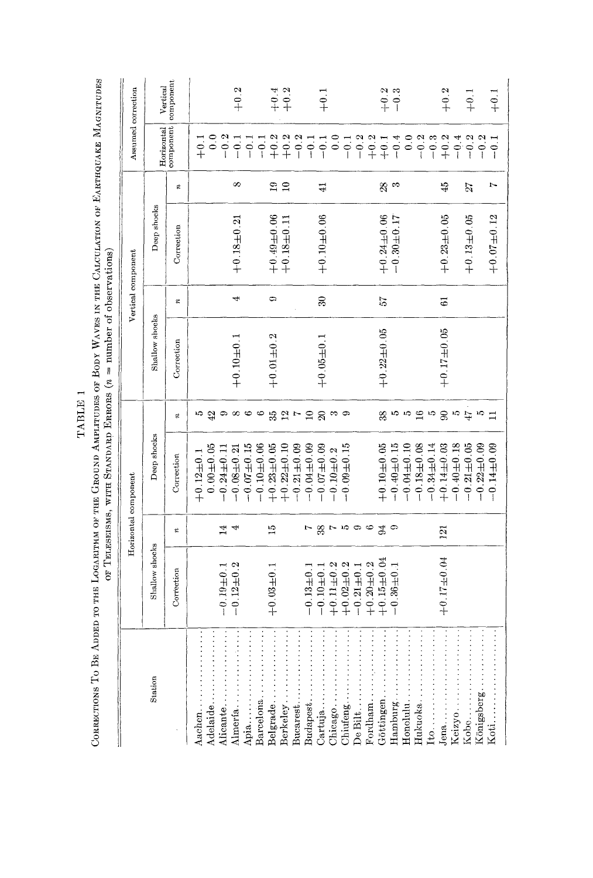|                                                                              |                 |                |                      |                             | OF LELESISMS, WITH STANDARD LARORS $(n = \texttt{num} \text{D} \text{error of } \text{observed} \text{times})$ |                          |                    |               |                                         |                    |
|------------------------------------------------------------------------------|-----------------|----------------|----------------------|-----------------------------|----------------------------------------------------------------------------------------------------------------|--------------------------|--------------------|---------------|-----------------------------------------|--------------------|
|                                                                              |                 |                | Horizontal component |                             |                                                                                                                |                          | Vertical component |               |                                         | Assumed correction |
| Station                                                                      | Shallow shocks  |                | Deep shocks          |                             | Shallow shocks                                                                                                 |                          | Deep shocks        |               | Horizontal                              | Vertical           |
|                                                                              | Correction      | r,             | Correction           | $\boldsymbol{\mathfrak{p}}$ | Correction                                                                                                     | $\boldsymbol{n}$         | Correction         | r             | component component                     |                    |
| Aachen. .                                                                    |                 |                | $+0.12\pm0.1$        |                             |                                                                                                                |                          |                    |               | $+0.1$                                  |                    |
| Adelaide.                                                                    |                 |                | $0.00 \pm 0.05$      | 15 G                        |                                                                                                                |                          |                    |               | 0.0                                     |                    |
| Alicante                                                                     | $-0.19 + 0.1$   | 14             | $-0.24 \pm 0.11$     |                             |                                                                                                                |                          |                    |               |                                         |                    |
| Almería                                                                      | $-0.12 \pm 0.2$ | ᆌ              | $-0.08 + 0.21$       |                             | $+0.10 + 0.1$                                                                                                  | 4                        | $+0.18 + 0.21$     | ∞             | $-0.2$<br>$-0.1$                        | $+0.2$             |
| Apia                                                                         |                 |                | $-0.07 + 0.15$       |                             |                                                                                                                |                          |                    |               | $-0.1$                                  |                    |
| Barcelona.                                                                   |                 |                | $-0.10 + 0.06$       | ဓာတ္ပင္ မွတ္တို႔            |                                                                                                                |                          |                    |               | $-0.1$                                  |                    |
| Belgrade                                                                     | $+0.03 + 0.1$   | $\overline{1}$ | $+0.23 + 0.05$       |                             | $+0.01 + 0.2$                                                                                                  | Ö                        | $+0.49 + 0.06$     |               |                                         |                    |
| Berkeley.                                                                    |                 |                | $+0.22 + 0.10$       |                             |                                                                                                                |                          | $+0.18 + 0.11$     | $\frac{1}{2}$ |                                         | $+0.3$<br>+0.2     |
| Bucarest.                                                                    |                 |                | $-0.21 + 0.09$       |                             |                                                                                                                |                          |                    |               |                                         |                    |
| Budapest.                                                                    | $-0.13 \pm 0.1$ |                | $-0.04 + 0.09$       | 28                          |                                                                                                                |                          |                    |               |                                         |                    |
| Cartuja.                                                                     | $-0.10 + 0.1$   | 0001281        | $-0.07 + 0.09$       |                             | $+0.05 + 0.1$                                                                                                  | $\overline{\mathcal{E}}$ | $+0.10 + 0.06$     | 듺             | $70.28$ $70.28$ $70.28$ $70.28$ $70.28$ | $-1$               |
|                                                                              | $+0.11 + 0.2$   |                | $-0.10 + 0.2$        | ಌ                           |                                                                                                                |                          |                    |               |                                         |                    |
| $\begin{array}{ll} \text{Chicago} \dots \\ \text{Chideng} \dots \end{array}$ | $+0.02 + 0.2$   |                | $-0.09 + 0.15$       | ¢                           |                                                                                                                |                          |                    |               | $-0.1$<br>$-0.2$                        |                    |
| De Bilt                                                                      | $-0.21 + 0.1$   |                |                      |                             |                                                                                                                |                          |                    |               |                                         |                    |
| Fordham.                                                                     | $+0.20 + 0.2$   |                |                      |                             |                                                                                                                |                          |                    |               |                                         |                    |
| Göttingen.                                                                   | $+0.15 + 0.04$  | $34^{\circ}$   | $+0.10 + 0.05$       |                             | $+0.22 + 0.05$                                                                                                 | 57                       | $+0.24 \pm 0.06$   |               |                                         |                    |
| Hamburg.                                                                     | $-0.36 \pm 0.1$ |                | $-0.40 + 0.15$       |                             |                                                                                                                |                          | $-0.30 + 0.17$     | ೫ ಇ           |                                         | $+0.3$<br>$-0.3$   |
| Honolulu.                                                                    |                 |                | $-0.04 \pm 0.10$     |                             |                                                                                                                |                          |                    |               | $+0.3$<br>$+0.1$<br>$+0.4$              |                    |
| Hukuoka.                                                                     |                 |                | $-0.18 + 0.08$       |                             |                                                                                                                |                          |                    |               | $-0.3$                                  |                    |
| $[to, \ldots]$                                                               |                 |                | $-0.34 \pm 0.14$     |                             |                                                                                                                |                          |                    |               |                                         |                    |
| Jena<br>Keizyo                                                               | $+0.1710.04$    | 121            | $+0.14 \pm 0.03$     | 88. மே மி மி மி மி மி மி மி | $+0.17 + 0.05$                                                                                                 | $\overline{6}$           | $+0.23 + 0.05$     | $\frac{1}{4}$ | $+0.2$                                  | $+0.2$             |
|                                                                              |                 |                | $-0.40 + 0.18$       |                             |                                                                                                                |                          |                    |               |                                         |                    |
| Kobo                                                                         |                 |                | $-0.21 + 0.05$       |                             |                                                                                                                |                          | $+0.13 + 0.05$     | 22            | $-0.4$<br>$-0.2$                        | $+0.1$             |
| Königsberg                                                                   |                 |                | $-0.22 + 0.09$       |                             |                                                                                                                |                          |                    |               | $-0.2$                                  |                    |
| Koti.                                                                        |                 |                | $-0.14 + 0.09$       | $\Box$                      |                                                                                                                |                          | $+0.07 + 0.12$     | Ņ             | $-0.1$                                  | $+0.1$             |

COBRECTIONS TO BE ADDED TO THE LOGARITHM OF THE CROUND AMPLITUDES OF BODY WAVES IN THE CALCULATION OF EARTHQUAKE MAGNITUDES

| ٠      |
|--------|
| ₽<br>٤ |
|        |
|        |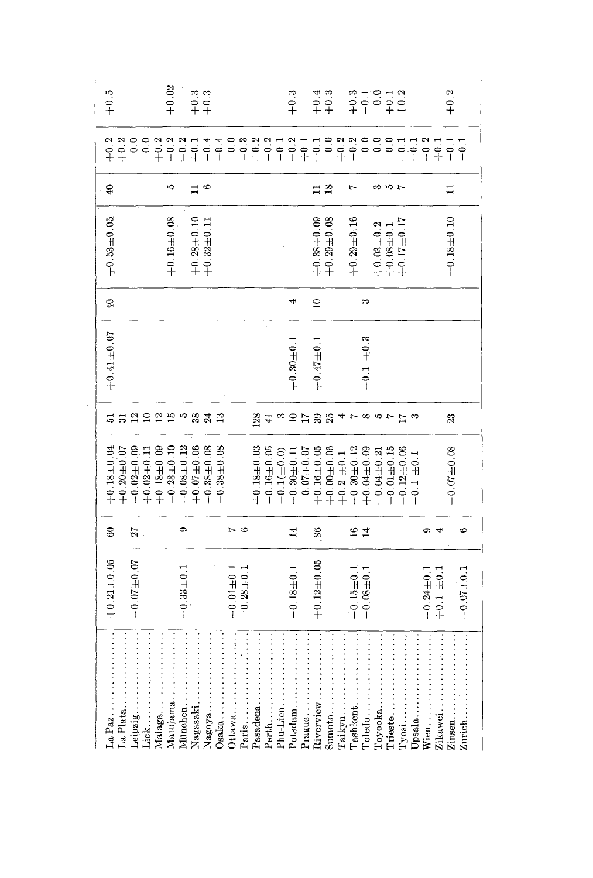| La Paz.           | $+0.21 + 0.05$                    | $\mathbf{S}$    | $+0.18 + 0.04$ | ದ                | $+0.41 + 0.07$ | $\mathfrak{g}$ | $+0.53 + 0.05$                   | ୍ଷ            |                    | $-10.5$                                     |
|-------------------|-----------------------------------|-----------------|----------------|------------------|----------------|----------------|----------------------------------|---------------|--------------------|---------------------------------------------|
| a Plata           |                                   |                 | $+0.20 + 0.07$ | $\overline{31}$  |                |                |                                  |               |                    |                                             |
| Leipzig           | $-0.0 + 10.0 -$                   | $\overline{27}$ | $-0.02 + 0.09$ |                  |                |                |                                  |               |                    |                                             |
| Lick              |                                   |                 | $+0.02 + 0.11$ |                  |                |                |                                  |               |                    |                                             |
| Malaga            |                                   |                 | $+0.18 + 0.09$ | 2222222          |                |                |                                  |               |                    |                                             |
| Matujama.         |                                   |                 | $-0.23 + 0.10$ |                  |                |                | $+0.16 + 0.08$                   | ю             |                    | $+0.02$                                     |
| München.          | $-0.33 + 0.1$                     | ⇨               | $-0.08 + 0.12$ |                  |                |                |                                  |               |                    |                                             |
| Nagasaki          |                                   |                 | $+0.07 + 0.06$ |                  |                |                | $+0.28 + 0.10$ $+0.32 + 0.11$    | $\Xi$ $\circ$ |                    | $\begin{array}{c} +0.3 \\ +0.3 \end{array}$ |
| $Nagg0y2.$ .      |                                   |                 | $-0.38 + 0.08$ | $\frac{24}{13}$  |                |                |                                  |               |                    |                                             |
| $O$ saka $\ldots$ |                                   |                 | $-0.38 + 0.08$ |                  |                |                |                                  |               |                    |                                             |
| $Ot$ tawa         | $-0.01 + 0.1$                     | $\sim$ 0        |                |                  |                |                |                                  |               |                    |                                             |
| Paris             | $-0.28 + 0.1$                     |                 |                |                  |                |                |                                  |               |                    |                                             |
| Pasadena.         |                                   |                 | $+0.18 + 0.03$ | 128              |                |                |                                  |               |                    |                                             |
| Perth.            |                                   |                 | $-0.16 + 0.05$ | $\overline{4}$   | $\bar{z}$      |                |                                  |               |                    |                                             |
| Phu-Lien.         |                                   |                 | $-0.1(10.0)$   |                  |                |                |                                  |               |                    |                                             |
| Potsdam.          | $-0.18 + 0.1$                     | 14              | $-0.30 + 0.11$ | 8 ほんとりょす 88 ほけのる | $+0.30 + 0.1$  | 4              |                                  |               |                    | $+0.3$                                      |
| Prague            |                                   |                 | $+0.07 + 0.07$ |                  |                |                |                                  |               |                    |                                             |
| Riverview         | $+0.12 + 0.05$                    | $86\,$          | $+0.16 + 0.05$ |                  | $+0.47 + 0.1$  | $\mathbf{r}$   | $+0.38 + 0.09$<br>$+0.29 + 0.08$ | $\Xi$ 2       |                    | $\begin{array}{c} +0.4 \\ +0.3 \end{array}$ |
| Sumoto.           |                                   |                 | $+0.00 + 0.06$ |                  |                |                |                                  |               |                    |                                             |
| ľaikyu.           |                                   |                 | $+0.2 \pm 0.1$ |                  |                |                |                                  |               |                    |                                             |
| <b>lashkent</b>   | $-0.15 + 0.1$                     | 16              | $-0.30 + 0.12$ |                  |                |                | $+0.29 + 0.16$                   | r             |                    |                                             |
| l'oledo.          | $-0.08 \pm 0.1$                   |                 | $+0.04 + 0.09$ |                  | $-0.1 \pm 0.3$ | S              |                                  |               |                    |                                             |
| Coyooka           |                                   |                 | $-0.04 + 0.21$ |                  |                |                | $+0.03 + 0.2$<br>$+0.08 + 0.1$   |               |                    |                                             |
| frieste.          |                                   |                 | $-0.01 + 0.15$ |                  |                |                |                                  | م م مہ<br>م   |                    |                                             |
| yosi.             |                                   |                 | $-0.12 + 0.06$ |                  |                |                | $+0.17 + 0.17$                   |               | $-0.1$             |                                             |
| Jpsala.           |                                   |                 | $-0.1 \pm 0.1$ |                  |                |                |                                  |               |                    |                                             |
| Vien              |                                   | G               |                |                  |                |                |                                  |               | $-0.2$             |                                             |
| <b>Zikawei</b>    | $-0.24 \pm 0.1$<br>+0.1 $\pm 0.1$ | ₩               |                |                  |                |                |                                  |               | $-10.1$<br>$-10.1$ |                                             |
| <b>Zinsen</b>     |                                   |                 | $-0.07 + 0.08$ | $\mathbf{z}$     |                |                | $+0.18 + 0.10$                   | Ξ             |                    | $+0.2$                                      |
| Zurich            | $-0.07 \pm 0.1$                   | ≎               |                |                  |                |                |                                  |               |                    |                                             |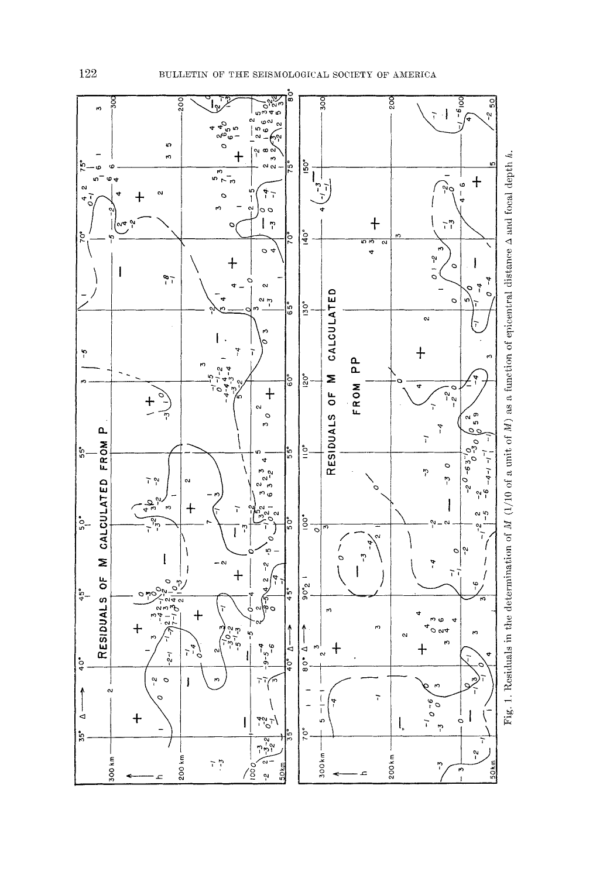

÷

 $\overline{a}$ 

BULLETIN OF THE SEISMOLOGICAL SOCIETY OF AMERICA

122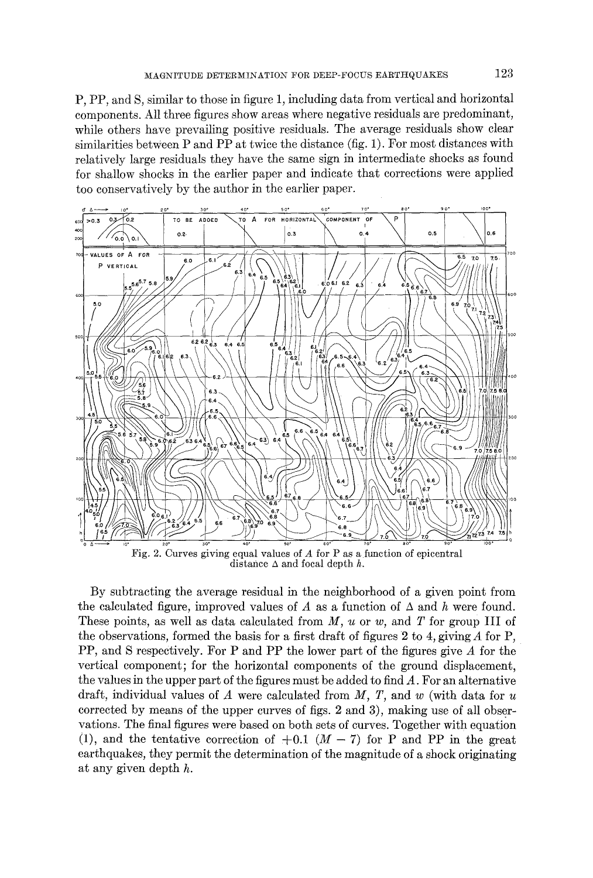P, PP, and S, similar to those in figure 1, including data from vertical and horizontal components. All three figures show areas where negative residuals are predominant, while others have prevailing positive residuals. The average residuals show clear similarities between P and PP at twice the distance (fig. 1). For most distances with relatively large residuals they have the same sign in intermediate shocks as found for shallow shocks in the earlier paper and indicate that corrections were applied too conservatively by the author in the earlier paper.



Fig. 2. Curves giving equal values of  $A$  for P as a function of epicentral distance  $\Delta$  and focal depth h.

By subtracting the average residual in the neighborhood of a given point from the calculated figure, improved values of A as a function of  $\Delta$  and h were found. These points, as well as data calculated from  $M$ ,  $u$  or  $w$ , and  $T$  for group III of the observations, formed the basis for a first draft of figures 2 to 4, giving  $A$  for P, PP, and S respectively. For P and PP the lower part of the figures give A for the vertical component; for the horizontal components of the ground displacement, the values in the upper part of the figures must be added to find  $A$ . For an alternative draft, individual values of A were calculated from  $M$ ,  $T$ , and  $w$  (with data for  $u$ corrected by means of the upper curves of figs. 2 and 3), making use of all obserrations. The final figures were based on both sets of curves. Together with equation (1), and the tentative correction of  $+0.1$  ( $M - 7$ ) for P and PP in the great earthquakes, they permit the determination of the magnitude of a shock originating at any given depth h.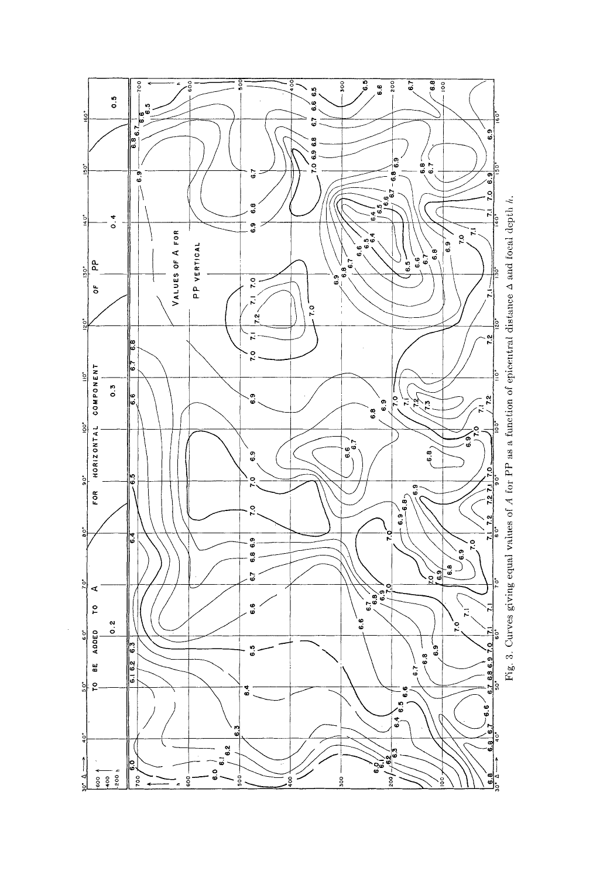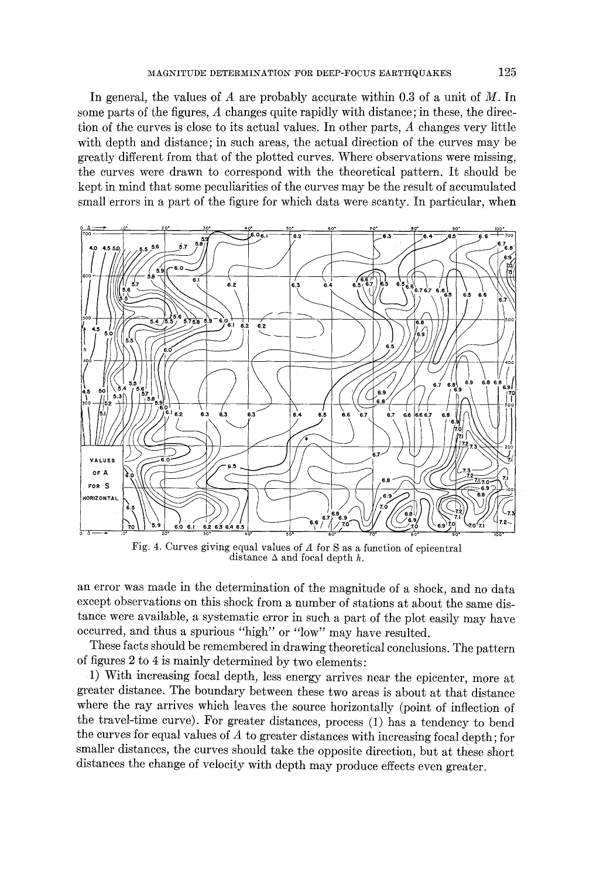In general, the values of A are probably accurate within 0.3 of a unit of M. In some parts of the figures, A changes quite rapidly with distance; in these, the direction of the curves is close to its actual values. In other parts, A changes very little with depth and distance; in such areas, the actual direction of the curves may be greatly different from that of the plotted curves. Where observations were missing, the curves were drawn to correspond with the theoretical pattern. It should be kept in mind that some peculiarities of the curves may be the result of accumulated small errors in a part of the figure for which data were scanty. In particular, when



Fig. 4. Curves giving equal values of  $A$  for S as a function of epicentral distance  $\Delta$  and focal depth h.

an error was made in the determination of the magnitude of a shock, and no data except observations on this shock from a number of stations at about the same distance were available, a systematic error in such a part of the plot easily may have occurred, and thus a spurious "high" or "low" may have resulted.

These facts should be remembered in drawing theoretical conclusions. The pattern of figures 2 to 4 is mainly determined by two elements:

1) With increasing focal depth, less energy arrives near the epicenter, more at greater distance. The boundary between these two areas is about at that distance where the ray arrives which leaves the source horizontally (point of inflection of the travel-time curve). For greater distances, process (1) has a tendency to bend the curves for equal values of  $A$  to greater distances with increasing focal depth; for smaller distances, the curves should take the opposite direction, but at these short distances the change of velocity with depth may produce effects even greater.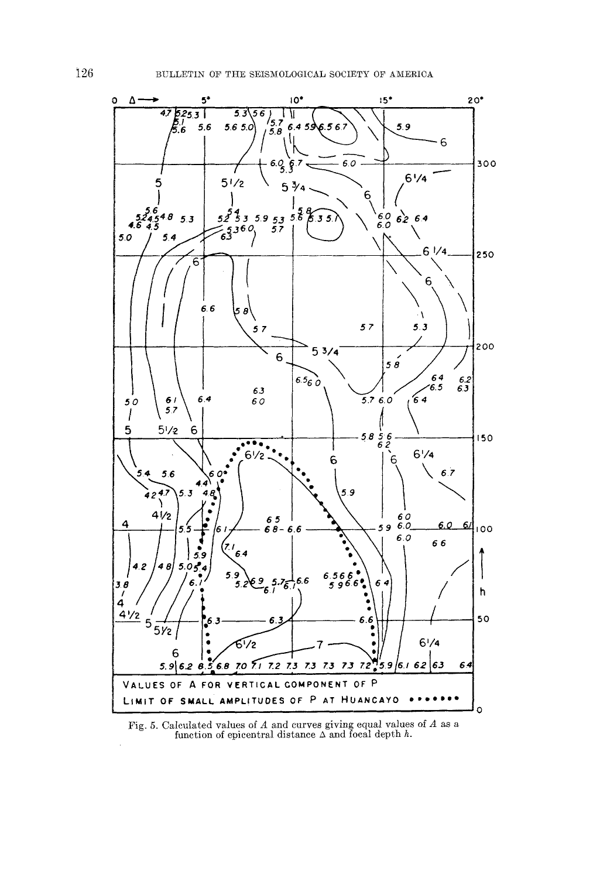

Fig. 5. Calculated values of A and curves giving equal values of A as function of epicentral distance  $\Delta$  and focal depth h.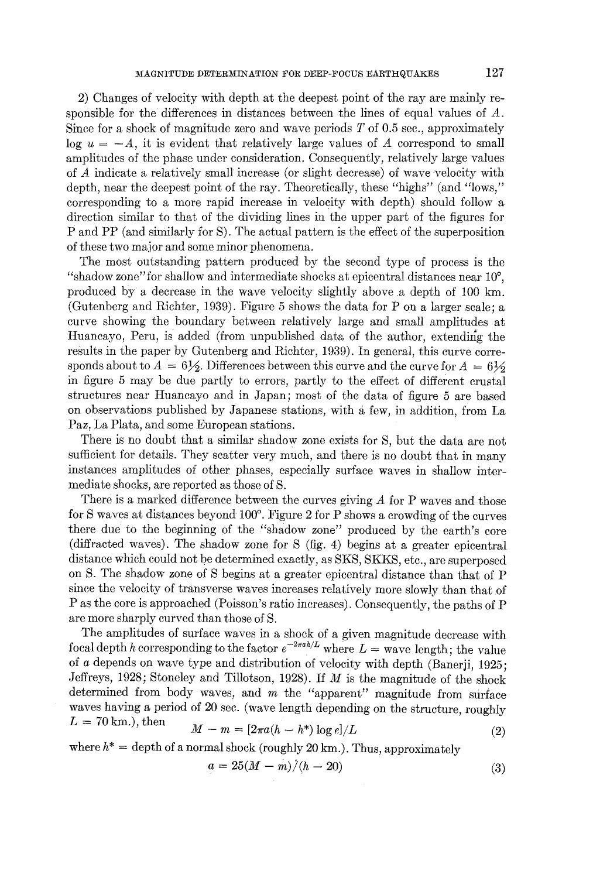2) Changes of velocity with depth at the deepest point of the ray are mainly responsible for the differences in distances between the lines of equal values of  $A$ . Since for a shock of magnitude zero and wave periods  $T$  of 0.5 sec., approximately  $log u = -A$ , it is evident that relatively large values of A correspond to small amplitudes of the phase under consideration. Consequently, relatively large values of A indicate a relatively small increase (or slight decrease) of wave velocity with depth, near the deepest point of the ray. Theoretically, these "highs" (and "lows," corresponding to a more rapid increase in velocity with depth) should follow a direction similar to that of the dividing lines in the upper part of the figures for P and PP (and similarly for S). The actual pattern is the effect of the superposition of these two major and Some minor phenomena.

The most outstanding pattern produced by the second type of process is the "shadow zone" for shallow and intermediate shocks at epicentral distances near  $10^{\circ}$ , produced by a decrease in the wave velocity slightly above a depth of I00 km. (Gutenberg and Richter, 1939). Figure 5 shows the data for P on a larger scale; a curve showing the boundary between relatively large and small amplitudes at Huancayo, Peru, is added (from unpublished data of the author, extending the results in the paper by Gutenberg and Richter, 1939). In general, this curve corresponds about to  $A = 6\frac{1}{2}$ . Differences between this curve and the curve for  $A = 6\frac{1}{2}$ in figure 5 may be due partly to errors, partly to the effect of different crustal structures near Huancayo and in Japan; most of the data of figure 5 are based on observations published by Japanese stations, with a few, in addition, from La Paz, La Plata, and some European stations.

There is no doubt that a similar shadow zone exists for S, but the data are not sufficient for details. They scatter very much, and there is no doubt that in many instances amplitudes of other phases, especially surface waves in shallow intermediate shocks, are reported as those of S.

There is a marked difference between the curves giving A for P waves and those for S waves at distances beyond 100% Figure 2 for P shows a crowding of the curves there due to the beginning of the "shadow zone" produced by the earth's core (diffracted waves). The shadow zone for S (fig. 4) begins at a greater epicentral distance which could not be determined exactly, as SKS, SKKS, etc., are superposed on S. The shadow zone of S begins at a greater epieentral distance than that of P since the velocity of transverse waves increases relatively more slowly than that of P as the core is approached (Poisson's ratio increases). Consequently, the paths of P are more sharply curved than those of S.

The amplitudes of surface waves in a shock of a given magnitude decrease with focal depth h corresponding to the factor  $e^{-2\pi a h/L}$  where  $L =$  wave length; the value of a depends on wave type and distribution of velocity with depth (Banerji, 1925; Jeffreys, 1928; Stoneley and Tillotson, 1928). If  $M$  is the magnitude of the shock determined from body waves, and m the "apparent" magnitude from surface waves having a period of 20 see. (wave length depending on the structure, roughly  $L = 70 \,\mathrm{km}$ .), then

$$
M - m = [2\pi a(h - h^*) \log e]/L \tag{2}
$$

where  $h^* =$  depth of a normal shock (roughly 20 km.). Thus, approximately

$$
a = 25(M - m)/(h - 20)
$$
 (3)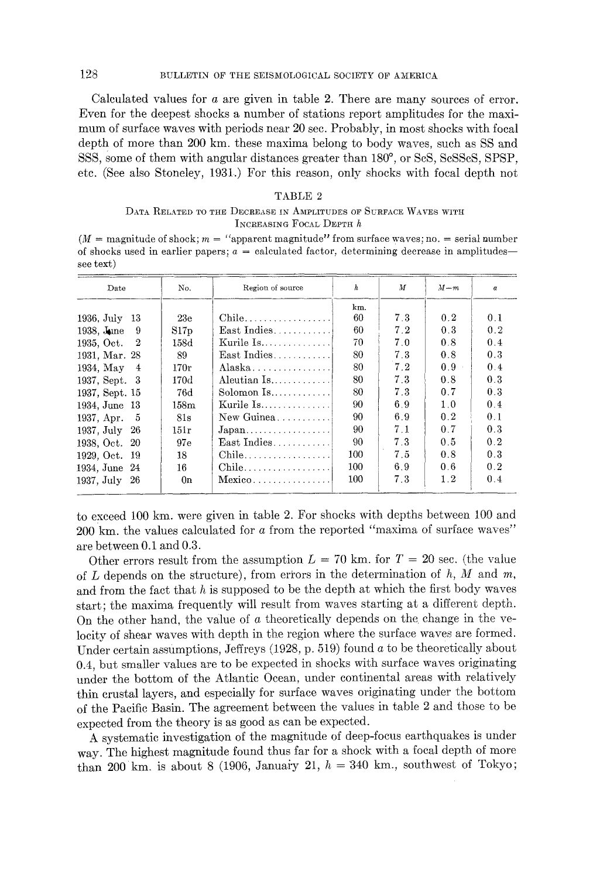### 128 BULLETIN OF THE SEISMOLOGICAL SOCIETY OF AMERICA

Calculated values for a are given in table 2. There are many sources of error. Even for the deepest shocks a number of stations report amplitudes for the maximum of surface waves with periods near 20 sec. Probably, in most shocks with focal depth of more than 200 km. these maxima belong to body waves, such as SS and SSS, some of them with angular distances greater than 180 °, or SoS, ScSScS, SPSP, etc. (See also Stoneley, 1931.) For this reason, only shocks with focal depth not

#### TABLE 2

## DATA RELATED TO THE DECREASE IN AMPLITUDES OF SURFACE WAVES WITH INCREASING FOCAL DEPTH h

 $(M = \text{magnitude of shock}; m =$  "apparent magnitude" from surface waves; no. = serial number of shocks used in earlier papers;  $a =$  calculated factor, determining decrease in amplitudes-see text)

| Date                         | No.  | Region of source                             | $\boldsymbol{h}$ | M   | $M-m$ | $\alpha$ |
|------------------------------|------|----------------------------------------------|------------------|-----|-------|----------|
|                              |      |                                              | km.              |     |       |          |
| 1936. July<br>-13            | 23e  | $Chile, \ldots, \ldots, \ldots, \ldots$      | 60               | 7.3 | 02    | 01       |
| 1938. June<br>-9             | S17p |                                              | 60               | 7.2 | 0.3   | 0.2      |
| 1935. Oct.<br>$\overline{2}$ | 158d | Kurile $Is \ldots$                           | 70               | 7.0 | 0.8   | 0.4      |
| 1931, Mar. 28                | 89.  | East Indies                                  | 80               | 7.3 | 0.8   | 0.3      |
| 1934. May<br>4               | 170r | Alaska                                       | 80               | 72  | 0.9   | 0.4      |
| 1937, Sept. 3                | 170d | Alentian Is                                  | 80               | 7.3 | 0.8   | 0.3      |
| 1937, Sept. 15               | 76d  | Solomon $\mathbf{I}$ s                       | 80               | 7.3 | 0.7   | 0.3      |
| 1934. June 13                | 158m | Kurile $Is, \ldots, \ldots, \ldots$          | 90               | 69  | 1.0   | 0.4      |
| 1937, Apr.<br>- 5            | 81s  | New Guinea                                   | 90               | 6.9 | 0.2   | 0.1      |
| 1937, July<br>-26            | 151r | $Japan \ldots \ldots \ldots \ldots \ldots$   | 90               | 7.1 | 07    | 0.3      |
| 1938, Oct. 20                | 97e  |                                              | 90               | 7.3 | 0.5   | 0.2      |
| 1929. Oct. 19                | 18   | $\text{Chile}$                               | 100              | 7.5 | 0.8   | 0.3      |
| 1934, June 24                | 16   | $\text{Chile} \dots \dots \dots \dots \dots$ | 100              | 69  | 0.6   | 0.2      |
| 1937, July 26                | 0n   | Mexico                                       | 100              | 73  | 1.2   | 0.4      |

to exceed 100 km. were given in table 2. For shocks with depths between 100 and 200 km. the values calculated for a from the reported "maxima of surface waves" are between 0.1 and 0.3.

Other errors result from the assumption  $L = 70$  km. for  $T = 20$  sec. (the value of L depends on the structure), from errors in the determination of  $h, M$  and  $m$ , and from the fact that  $h$  is supposed to be the depth at which the first body waves start; the maxima frequently will result from waves starting at a different depth. On the other hand, the value of a theoretically depends on the change in the velocity of shear waves with depth in the region where the surface waves are formed. Under certain assumptions, Jeffreys (1928, p. 519) found a to be theoretically about 0.4, but smaller values are to be expected in shocks with surface waves originating under the bottom of the Atlantic Ocean, under continental areas with relatively thin crustal layers, and especially for surface waves originating under the bottom of the Pacific Basin. The agreement between the values in table 2 and those to be expected from the theory is as good as can be expected.

A systematic investigation of the magnitude of deep-focus earthquakes is under way. The highest magnitude found thus far for a shock with a focal depth of more than 200 km. is about 8 (1906, January 21,  $h = 340$  km., southwest of Tokyo;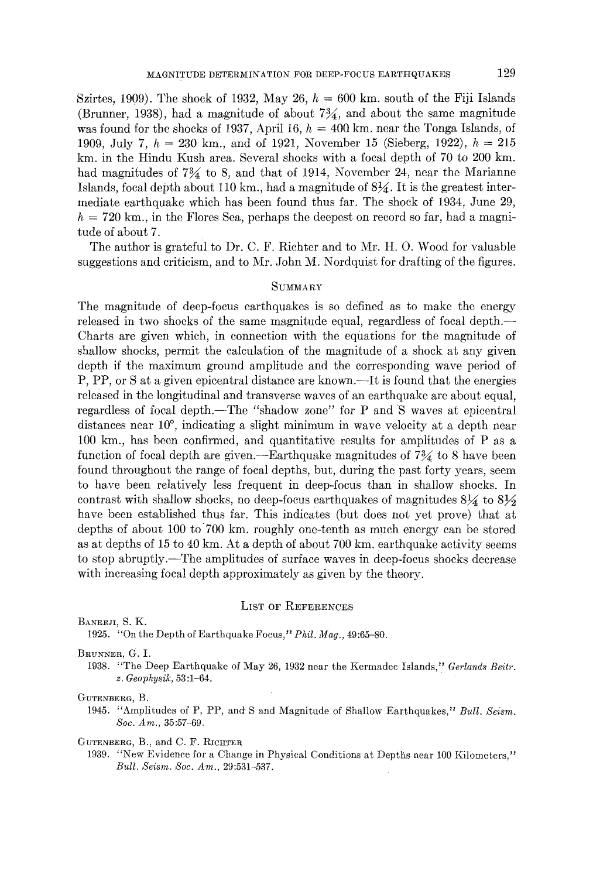Szirtes, 1909). The shock of 1932, May 26,  $h = 600$  km. south of the Fiji Islands (Brunner, 1938), had a magnitude of about  $7\frac{3}{4}$ , and about the same magnitude was found for the shocks of 1937, April 16,  $h = 400$  km. near the Tonga Islands, of 1909, July 7,  $h = 230$  km., and of 1921, November 15 (Sieberg, 1922),  $h = 215$ km. in the Hindu Kush area. Several shocks with a focal depth of 70 to 200 km. had magnitudes of  $7\frac{3}{4}$  to 8, and that of 1914, November 24, near the Marianne Islands, focal depth about 110 km., had a magnitude of  $8\frac{1}{4}$ . It is the greatest intermediate earthquake which has been found thus far. The shock of 1934, June 29,  $h = 720$  km., in the Flores Sea, perhaps the deepest on record so far, had a magnitude of about 7.

The author is grateful to Dr. C. F. Richter and to Mr. H. O. Wood for valuable suggestions and criticism, and to  $Mr.$  John M. Nordquist for drafting of the figures.

#### **SUMMARY**

The magnitude of deep-focus earthquakes is so defined as to make the energy released in two shocks of the same magnitude equal, regardless of focal depth.- Charts are given which, in connection with the equations for the magnitude of shallow shocks, permit the calculation of the magnitude of a shock at any given depth if the maximum ground amplitude and the corresponding wave period of P, PP, or S at a given epicentral distance are known.—It is found that the energies released in the longitudinal and transverse waves of an earthquake arc about equal, regardless of focal depth.-The "shadow zone" for P and S waves at epicentral distances near  $10^{\circ}$ , indicating a slight minimum in wave velocity at a depth near 100 km., has been confirmed, and quantitative results for amplitudes of P as a function of focal depth are given.—Earthquake magnitudes of  $7\frac{3}{4}$  to 8 have been found throughout the range of focal depths, but, during the past forty years, seem to have been relatively less frequent in deep-focus than in shallow shocks. In contrast with shallow shocks, no deep-focus earthquakes of magnitudes  $8\frac{1}{4}$  to  $8\frac{1}{2}$ have been established thus far. This indicates (but does not yet prove) that at depths of about  $100$  to  $700 \text{ km}$ , roughly one-tenth as much energy can be stored as at depths of  $15$  to  $40 \text{ km}$ . At a depth of about 700 km, earthquake activity seems to stop abruptly.--The amplitudes of surface waves in deep-focus shocks decrease with increasing focal depth approximately as given by the theory.

#### LIST OF REFERENCES

BANERJI, S. K.

1925. *"On the Depth of Earthquake Focus," Phil. Mag., 49:65-80.* 

**BRUNNER, G. I.** 

1938. "The Deep Earthquake of May 26, 1932 near the Kermadec Islands," Gerlands Beitr. *z. Geophysik,* 53:1-64.

GUTENBERG, B.

1945. "Amplitudes of P, PP, and" S and Magnitude of Shallow Earthquakes/' *Bull. Seism. Soc. Am.,* 35:57-69.

GUTENBERG, **B., and C. F.** RICHTER

1939. "New Evidence for a Change in Physical Conditions at Depths near 100 Kilometers," *Bull. Seism. Soc. Am.,* 29:531-537.